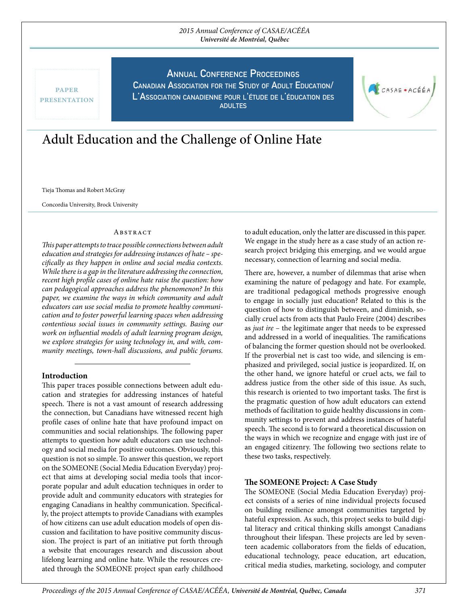## 2015 Annual Conference of CASAE/ACÉÉA **Université de Montréal, Québec**

paper **PRESENTATION**  **ANNUAL CONFERENCE PROCEEDINGS** 

**CAnAdiAn AssoCiAtion for the study of Adult eduCAtion/ l'AssoCiAtion CAnAdiEnne Pour <sup>l</sup>'étude de l'éduCAtion des AdultEs**

# Adult Education and the Challenge of Online Hate

Tieja Thomas and Robert McGray

Concordia University, Brock University

#### **ABSTRACT**

This paper attempts to trace possible connections between adult education and strategies for addressing instances of hate – specifcally as they happen in online and social media contexts. While there is a gap in the literature addressing the connection, recent high profle cases of online hate raise the question: how can pedagogical approaches address the phenomenon? In this paper, we examine the ways in which community and adult educators can use social media to promote healthy communication and to foster powerful learning spaces when addressing contentious social issues in community settings. Basing our work on infuential models of adult learning program design, we explore strategies for using technology in, and with, community meetings, town-hall discussions, and public forums.

## Introduction

This paper traces possible connections between adult education and strategies for addressing instances of hateful speech. There is not a vast amount of research addressing the connection, but Canadians have witnessed recent high profle cases of online hate that have profound impact on communities and social relationships. The following paper attempts to question how adult educators can use technology and social media for positive outcomes. Obviously, this question is not so simple. To answer this question, we report on the SOMEONE (Social Media Education Everyday) project that aims at developing social media tools that incorporate popular and adult education techniques in order to provide adult and community educators with strategies for engaging Canadians in healthy communication. Specifcally, the project attempts to provide Canadians with examples of how citizens can use adult education models of open discussion and facilitation to have positive community discussion. The project is part of an initiative put forth through a website that encourages research and discussion about lifelong learning and online hate. While the resources created through the SOMEONE project span early childhood

to adult education, only the latter are discussed in this paper. We engage in the study here as a case study of an action research project bridging this emerging, and we would argue necessary, connection of learning and social media.

CASAE . ACÉÉA

There are, however, a number of dilemmas that arise when examining the nature of pedagogy and hate. For example, are traditional pedagogical methods progressive enough to engage in socially just education? Related to this is the question of how to distinguish between, and diminish, socially cruel acts from acts that Paulo Freire (2004) describes as just ire – the legitimate anger that needs to be expressed and addressed in a world of inequalities. The ramifications of balancing the former question should not be overlooked. If the proverbial net is cast too wide, and silencing is emphasized and privileged, social justice is jeopardized. If, on the other hand, we ignore hateful or cruel acts, we fail to address justice from the other side of this issue. As such, this research is oriented to two important tasks. The first is the pragmatic question of how adult educators can extend methods of facilitation to guide healthy discussions in community settings to prevent and address instances of hateful speech. The second is to forward a theoretical discussion on the ways in which we recognize and engage with just ire of an engaged citizenry. The following two sections relate to these two tasks, respectively.

# The SOMEONE Project: A Case Study

The SOMEONE (Social Media Education Everyday) project consists of a series of nine individual projects focused on building resilience amongst communities targeted by hateful expression. As such, this project seeks to build digital literacy and critical thinking skills amongst Canadians throughout their lifespan. These projects are led by seventeen academic collaborators from the felds of education, educational technology, peace education, art education, critical media studies, marketing, sociology, and computer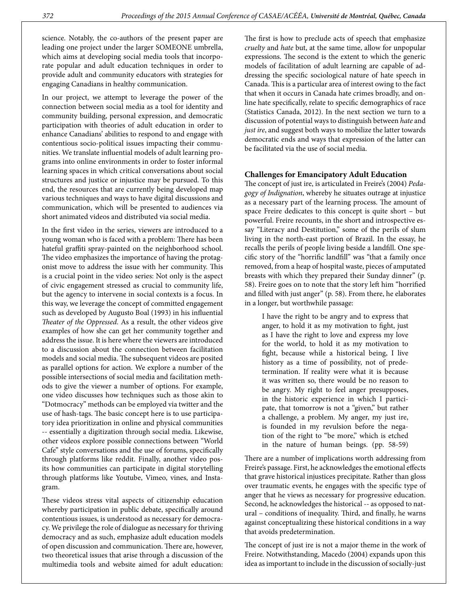science. Notably, the co-authors of the present paper are leading one project under the larger SOMEONE umbrella, which aims at developing social media tools that incorporate popular and adult education techniques in order to provide adult and community educators with strategies for engaging Canadians in healthy communication.

In our project, we attempt to leverage the power of the connection between social media as a tool for identity and community building, personal expression, and democratic participation with theories of adult education in order to enhance Canadians' abilities to respond to and engage with contentious socio-political issues impacting their communities. We translate infuential models of adult learning programs into online environments in order to foster informal learning spaces in which critical conversations about social structures and justice or injustice may be pursued. To this end, the resources that are currently being developed map various techniques and ways to have digital discussions and communication, which will be presented to audiences via short animated videos and distributed via social media.

In the frst video in the series, viewers are introduced to a young woman who is faced with a problem: There has been hateful graffiti spray-painted on the neighborhood school. The video emphasizes the importance of having the protagonist move to address the issue with her community. This is a crucial point in the video series: Not only is the aspect of civic engagement stressed as crucial to community life, but the agency to intervene in social contexts is a focus. In this way, we leverage the concept of committed engagement such as developed by Augusto Boal (1993) in his infuential Theater of the Oppressed. As a result, the other videos give examples of how she can get her community together and address the issue. It is here where the viewers are introduced to a discussion about the connection between facilitation models and social media. The subsequent videos are posited as parallel options for action. We explore a number of the possible intersections of social media and facilitation methods to give the viewer a number of options. For example, one video discusses how techniques such as those akin to "Dotmocracy" methods can be employed via twitter and the use of hash-tags. The basic concept here is to use participatory idea prioritization in online and physical communities -- essentially a digitization through social media. Likewise, other videos explore possible connections between "World Cafe" style conversations and the use of forums, specifcally through platforms like reddit. Finally, another video posits how communities can participate in digital storytelling through platforms like Youtube, Vimeo, vines, and Instagram.

These videos stress vital aspects of citizenship education whereby participation in public debate, specifcally around contentious issues, is understood as necessary for democracy. We privilege the role of dialogue as necessary for thriving democracy and as such, emphasize adult education models of open discussion and communication. There are, however, two theoretical issues that arise through a discussion of the multimedia tools and website aimed for adult education:

The first is how to preclude acts of speech that emphasize cruelty and hate but, at the same time, allow for unpopular expressions. The second is the extent to which the generic models of facilitation of adult learning are capable of addressing the specifc sociological nature of hate speech in Canada. This is a particular area of interest owing to the fact that when it occurs in Canada hate crimes broadly, and online hate specifcally, relate to specifc demographics of race (Statistics Canada, 2012). In the next section we turn to a discussion of potential ways to distinguish between hate and just ire, and suggest both ways to mobilize the latter towards democratic ends and ways that expression of the latter can be facilitated via the use of social media.

#### Challenges for Emancipatory Adult Education

The concept of just ire, is articulated in Freire's (2004) Pedagogy of Indignation, whereby he situates outrage at injustice as a necessary part of the learning process. The amount of space Freire dedicates to this concept is quite short – but powerful. Freire recounts, in the short and introspective essay "Literacy and Destitution," some of the perils of slum living in the north-east portion of Brazil. In the essay, he recalls the perils of people living beside a landfll. One specifc story of the "horrifc landfll" was "that a family once removed, from a heap of hospital waste, pieces of amputated breasts with which they prepared their Sunday dinner" (p. 58). Freire goes on to note that the story left him "horrified and flled with just anger" (p. 58). From there, he elaborates in a longer, but worthwhile passage:

I have the right to be angry and to express that anger, to hold it as my motivation to fght, just as I have the right to love and express my love for the world, to hold it as my motivation to fght, because while a historical being, I live history as a time of possibility, not of predetermination. If reality were what it is because it was written so, there would be no reason to be angry. My right to feel anger presupposes, in the historic experience in which I participate, that tomorrow is not a "given," but rather a challenge, a problem. My anger, my just ire, is founded in my revulsion before the negation of the right to "be more," which is etched in the nature of human beings. (pp. 58-59)

There are a number of implications worth addressing from Freire's passage. First, he acknowledges the emotional efects that grave historical injustices precipitate. Rather than gloss over traumatic events, he engages with the specifc type of anger that he views as necessary for progressive education. Second, he acknowledges the historical -- as opposed to natural - conditions of inequality. Third, and finally, he warns against conceptualizing these historical conditions in a way that avoids predetermination.

The concept of just ire is not a major theme in the work of Freire. Notwithstanding, Macedo (2004) expands upon this idea as important to include in the discussion of socially-just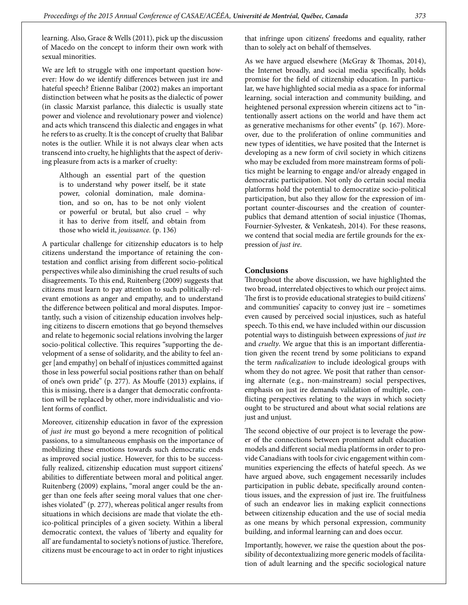learning. Also, Grace & Wells (2011), pick up the discussion of Macedo on the concept to inform their own work with sexual minorities.

We are left to struggle with one important question however: How do we identify diferences between just ire and hateful speech? Étienne Balibar (2002) makes an important distinction between what he posits as the dialectic of power (in classic Marxist parlance, this dialectic is usually state power and violence and revolutionary power and violence) and acts which transcend this dialectic and engages in what he refers to as cruelty. It is the concept of cruelty that Balibar notes is the outlier. While it is not always clear when acts transcend into cruelty, he highlights that the aspect of deriving pleasure from acts is a marker of cruelty:

Although an essential part of the question is to understand why power itself, be it state power, colonial domination, male domination, and so on, has to be not only violent or powerful or brutal, but also cruel – why it has to derive from itself, and obtain from those who wield it, jouissance. (p. 136)

A particular challenge for citizenship educators is to help citizens understand the importance of retaining the contestation and confict arising from diferent socio-political perspectives while also diminishing the cruel results of such disagreements. To this end, Ruitenberg (2009) suggests that citizens must learn to pay attention to such politically-relevant emotions as anger and empathy, and to understand the diference between political and moral disputes. Importantly, such a vision of citizenship education involves helping citizens to discern emotions that go beyond themselves and relate to hegemonic social relations involving the larger socio-political collective. This requires "supporting the development of a sense of solidarity, and the ability to feel anger [and empathy] on behalf of injustices committed against those in less powerful social positions rather than on behalf of one's own pride" (p. 277). As Moufe (2013) explains, if this is missing, there is a danger that democratic confrontation will be replaced by other, more individualistic and violent forms of confict.

Moreover, citizenship education in favor of the expression of just ire must go beyond a mere recognition of political passions, to a simultaneous emphasis on the importance of mobilizing these emotions towards such democratic ends as improved social justice. However, for this to be successfully realized, citizenship education must support citizens' abilities to diferentiate between moral and political anger. Ruitenberg (2009) explains, "moral anger could be the anger than one feels after seeing moral values that one cherishes violated" (p. 277), whereas political anger results from situations in which decisions are made that violate the ethico-political principles of a given society. Within a liberal democratic context, the values of 'liberty and equality for all' are fundamental to society's notions of justice. Therefore, citizens must be encourage to act in order to right injustices

that infringe upon citizens' freedoms and equality, rather than to solely act on behalf of themselves.

As we have argued elsewhere (McGray & Thomas, 2014), the Internet broadly, and social media specifcally, holds promise for the feld of citizenship education. In particular, we have highlighted social media as a space for informal learning, social interaction and community building, and heightened personal expression wherein citizens act to "intentionally assert actions on the world and have them act as generative mechanisms for other events" (p. 167). Moreover, due to the proliferation of online communities and new types of identities, we have posited that the Internet is developing as a new form of civil society in which citizens who may be excluded from more mainstream forms of politics might be learning to engage and/or already engaged in democratic participation. Not only do certain social media platforms hold the potential to democratize socio-political participation, but also they allow for the expression of important counter-discourses and the creation of counterpublics that demand attention of social injustice (Thomas, Fournier-Sylvester, & Venkatesh, 2014). For these reasons, we contend that social media are fertile grounds for the expression of just ire.

### Conclusions

Throughout the above discussion, we have highlighted the two broad, interrelated objectives to which our project aims. The first is to provide educational strategies to build citizens' and communities' capacity to convey just ire – sometimes even caused by perceived social injustices, such as hateful speech. To this end, we have included within our discussion potential ways to distinguish between expressions of just ire and *cruelty*. We argue that this is an important differentiation given the recent trend by some politicians to expand the term radicalization to include ideological groups with whom they do not agree. We posit that rather than censoring alternate (e.g., non-mainstream) social perspectives, emphasis on just ire demands validation of multiple, conficting perspectives relating to the ways in which society ought to be structured and about what social relations are just and unjust.

The second objective of our project is to leverage the power of the connections between prominent adult education models and diferent social media platforms in order to provide Canadians with tools for civic engagement within communities experiencing the efects of hateful speech. As we have argued above, such engagement necessarily includes participation in public debate, specifcally around contentious issues, and the expression of just ire. The fruitfulness of such an endeavor lies in making explicit connections between citizenship education and the use of social media as one means by which personal expression, community building, and informal learning can and does occur.

Importantly, however, we raise the question about the possibility of decontextualizing more generic models of facilitation of adult learning and the specifc sociological nature